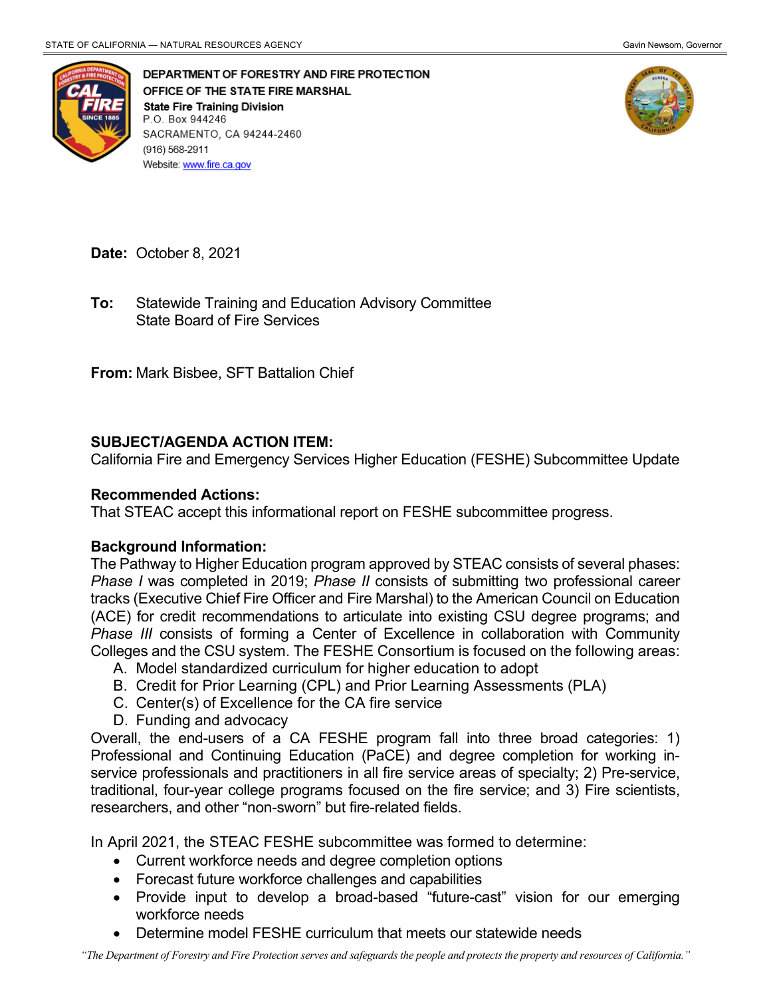

DEPARTMENT OF FORESTRY AND FIRE PROTECTION OFFICE OF THE STATE FIRE MARSHAL **State Fire Training Division** P.O. Box 944246 SACRAMENTO, CA 94244-2460 (916) 568-2911 Website: www.fire.ca.gov



**Date:** October 8, 2021

 State Board of Fire Services **To:** Statewide Training and Education Advisory Committee

**From:** Mark Bisbee, SFT Battalion Chief

## **SUBJECT/AGENDA ACTION ITEM:**

California Fire and Emergency Services Higher Education (FESHE) Subcommittee Update

## **Recommended Actions:**

That STEAC accept this informational report on FESHE subcommittee progress.

## **Background Information:**

 The Pathway to Higher Education program approved by STEAC consists of several phases: *Phase I* was completed in 2019; *Phase II* consists of submitting two professional career tracks (Executive Chief Fire Officer and Fire Marshal) to the American Council on Education (ACE) for credit recommendations to articulate into existing CSU degree programs; and **Phase III consists of forming a Center of Excellence in collaboration with Community** Colleges and the CSU system. The FESHE Consortium is focused on the following areas:

- A. Model standardized curriculum for higher education to adopt
- B. Credit for Prior Learning (CPL) and Prior Learning Assessments (PLA)
- C. Center(s) of Excellence for the CA fire service
- D. Funding and advocacy

 Overall, the end-users of a CA FESHE program fall into three broad categories: 1) researchers, and other "non-sworn" but fire-related fields. Professional and Continuing Education (PaCE) and degree completion for working inservice professionals and practitioners in all fire service areas of specialty; 2) Pre-service, traditional, four-year college programs focused on the fire service; and 3) Fire scientists,

In April 2021, the STEAC FESHE subcommittee was formed to determine:

- Current workforce needs and degree completion options
- Forecast future workforce challenges and capabilities
- Provide input to develop a broad-based "future-cast" vision for our emerging workforce needs
- Determine model FESHE curriculum that meets our statewide needs